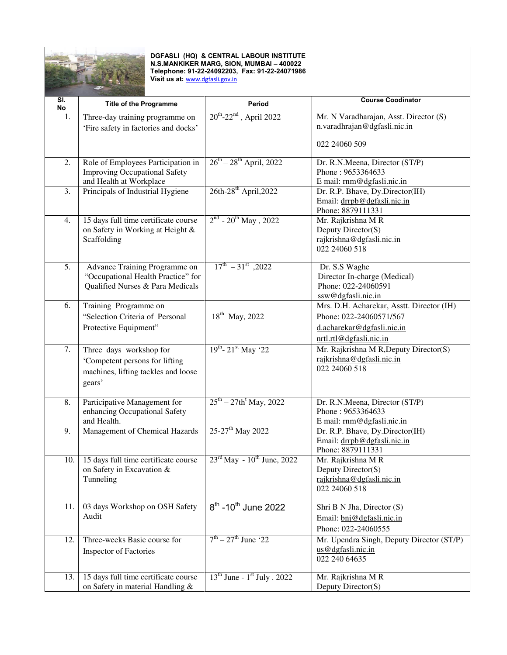

## **DGFASLI (HQ) & CENTRAL LABOUR INSTITUTE N.S.MANKIKER MARG, SION, MUMBAI – 400022 Telephone: 91-22-24092203, Fax: 91-22-24071986 Visit us at:** [www.dgfasli.gov.in](http://www.dgfasli.gov.in/)

| $\overline{\mathsf{SI}}$<br>No | <b>Title of the Programme</b>                                       | Period                                             | <b>Course Coodinator</b>                         |
|--------------------------------|---------------------------------------------------------------------|----------------------------------------------------|--------------------------------------------------|
| 1.                             | Three-day training programme on                                     | $20^{th}$ -22 <sup>nd</sup> , April 2022           | Mr. N Varadharajan, Asst. Director (S)           |
|                                | 'Fire safety in factories and docks'                                |                                                    | n.varadhrajan@dgfasli.nic.in                     |
|                                |                                                                     |                                                    | 022 24060 509                                    |
| 2.                             | Role of Employees Participation in                                  | $26^{th} - 28^{th}$ April, 2022                    | Dr. R.N.Meena, Director (ST/P)                   |
|                                | <b>Improving Occupational Safety</b>                                |                                                    | Phone: 9653364633                                |
|                                | and Health at Workplace                                             |                                                    | E mail: rnm@dgfasli.nic.in                       |
| 3.                             | Principals of Industrial Hygiene                                    | $26th-28$ <sup>th</sup> April, 2022                | Dr. R.P. Bhave, Dy.Director(IH)                  |
|                                |                                                                     |                                                    | Email: drrpb@dgfasli.nic.in<br>Phone: 8879111331 |
| 4.                             | 15 days full time certificate course                                | $2^{nd}$ - $20^{th}$ May, 2022                     | Mr. Rajkrishna MR                                |
|                                | on Safety in Working at Height &                                    |                                                    | Deputy Director(S)                               |
|                                | Scaffolding                                                         |                                                    | rajkrishna@dgfasli.nic.in                        |
|                                |                                                                     |                                                    | 022 24060 518                                    |
| 5.                             |                                                                     | $17^{\text{th}} - 31^{\text{st}}$ , 2022           |                                                  |
|                                | Advance Training Programme on<br>"Occupational Health Practice" for |                                                    | Dr. S.S Waghe<br>Director In-charge (Medical)    |
|                                | Qualified Nurses & Para Medicals                                    |                                                    | Phone: 022-24060591                              |
|                                |                                                                     |                                                    | ssw@dgfasli.nic.in                               |
| 6.                             | Training Programme on                                               |                                                    | Mrs. D.H. Acharekar, Asstt. Director (IH)        |
|                                | "Selection Criteria of Personal                                     | 18 <sup>th</sup> May, 2022                         | Phone: 022-24060571/567                          |
|                                | Protective Equipment"                                               |                                                    | d.acharekar@dgfasli.nic.in                       |
|                                |                                                                     |                                                    | nrtl.rtl@dgfasli.nic.in                          |
| 7.                             | Three days workshop for                                             | $19^{th}$ - $21^{st}$ May '22                      | Mr. Rajkrishna M R, Deputy Director(S)           |
|                                | 'Competent persons for lifting                                      |                                                    | rajkrishna@dgfasli.nic.in                        |
|                                | machines, lifting tackles and loose                                 |                                                    | 022 24060 518                                    |
|                                | gears'                                                              |                                                    |                                                  |
| 8.                             | Participative Management for                                        | $25^{th} - 27th$ <sup>t</sup> May, 2022            | Dr. R.N.Meena, Director (ST/P)                   |
|                                | enhancing Occupational Safety                                       |                                                    | Phone: 9653364633                                |
|                                | and Health.                                                         |                                                    | E mail: rnm@dgfasli.nic.in                       |
| 9.                             | Management of Chemical Hazards                                      | 25-27 <sup>th</sup> May 2022                       | Dr. R.P. Bhave, Dy.Director(IH)                  |
|                                |                                                                     |                                                    | Email: drrpb@dgfasli.nic.in                      |
|                                |                                                                     |                                                    | Phone: 8879111331                                |
| 10.                            | 15 days full time certificate course                                | $23^{\text{rd}}$ May - $10^{\text{th}}$ June, 2022 | Mr. Rajkrishna M R<br>Deputy Director(S)         |
|                                | on Safety in Excavation &<br>Tunneling                              |                                                    | rajkrishna@dgfasli.nic.in                        |
|                                |                                                                     |                                                    | 022 24060 518                                    |
|                                |                                                                     |                                                    |                                                  |
| 11.                            | 03 days Workshop on OSH Safety                                      | $8^{th}$ -10 <sup>th</sup> June 2022               | Shri B N Jha, Director (S)                       |
|                                | Audit                                                               |                                                    | Email: bnj@dgfasli.nic.in                        |
|                                |                                                                     |                                                    | Phone: 022-24060555                              |
| 12.                            | Three-weeks Basic course for                                        | $7^{th} - 27^{th}$ June '22                        | Mr. Upendra Singh, Deputy Director (ST/P)        |
|                                | <b>Inspector of Factories</b>                                       |                                                    | us@dgfasli.nic.in                                |
|                                |                                                                     |                                                    | 022 240 64635                                    |
| 13.                            | 15 days full time certificate course                                | $13th$ June - $1st$ July . 2022                    | Mr. Rajkrishna MR                                |
|                                | on Safety in material Handling &                                    |                                                    | Deputy Director(S)                               |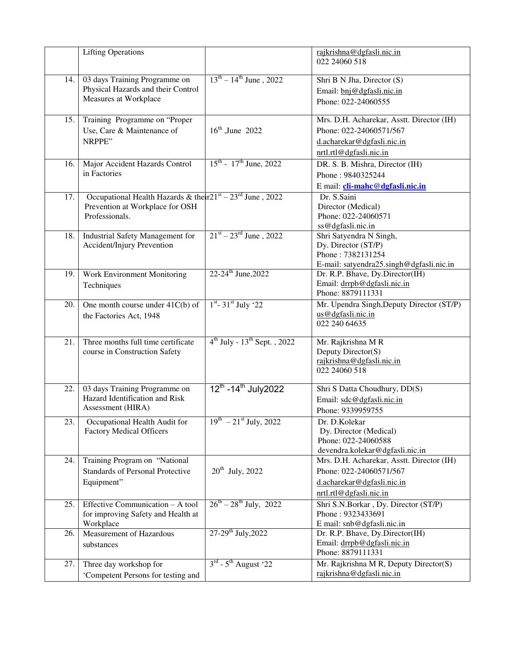|     | <b>Lifting Operations</b>                                                                                         |                                                | rajkrishna@dgfasli.nic.in<br>022 24060 518                                                                                    |
|-----|-------------------------------------------------------------------------------------------------------------------|------------------------------------------------|-------------------------------------------------------------------------------------------------------------------------------|
| 14. | 03 days Training Programme on<br>Physical Hazards and their Control<br>Measures at Workplace                      | $13^{th} - 14^{th}$ June, 2022                 | Shri B N Jha, Director (S)<br>Email: bnj@dgfasli.nic.in<br>Phone: 022-24060555                                                |
| 15. | Training Programme on "Proper<br>Use, Care & Maintenance of<br>NRPPE"                                             | $16^{th}$ , June 2022                          | Mrs. D.H. Acharekar, Asstt. Director (IH)<br>Phone: 022-24060571/567<br>d.acharekar@dgfasli.nic.in<br>nrtl.rtl@dgfasli.nic.in |
| 16. | Major Accident Hazards Control<br>in Factories                                                                    | $15^{\text{th}}$ - $17^{\text{th}}$ June, 2022 | DR. S. B. Mishra, Director (IH)<br>Phone: 9840325244<br>E mail: <i>cli-mahc@dgfasli.nic.in</i>                                |
| 17. | Occupational Health Hazards & their $21st - 23rd$ June, 2022<br>Prevention at Workplace for OSH<br>Professionals. |                                                | Dr. S.Saini<br>Director (Medical)<br>Phone: 022-24060571<br>ss@dgfasli.nic.in                                                 |
| 18. | <b>Industrial Safety Management for</b><br><b>Accident/Injury Prevention</b>                                      | $21^{st} - 23^{rd}$ June, 2022                 | Shri Satyendra N Singh,<br>Dy. Director (ST/P)<br>Phone: 7382131254<br>E-mail: satyendra25.singh@dgfasli.nic.in               |
| 19. | Work Environment Monitoring<br>Techniques                                                                         | 22-24 <sup>th</sup> June, 2022                 | Dr. R.P. Bhave, Dy.Director(IH)<br>Email: drrpb@dgfasli.nic.in<br>Phone: 8879111331                                           |
| 20. | One month course under $41C(b)$ of<br>the Factories Act, 1948                                                     | $1^{st}$ - 31 <sup>st</sup> July '22           | Mr. Upendra Singh, Deputy Director (ST/P)<br>us@dgfasli.nic.in<br>022 240 64635                                               |
| 21. | Three months full time certificate<br>course in Construction Safety                                               | $4^{th}$ July - $13^{th}$ Sept., 2022          | Mr. Rajkrishna MR<br>Deputy Director(S)<br>rajkrishna@dgfasli.nic.in<br>022 24060 518                                         |
| 22. | 03 days Training Programme on<br>Hazard Identification and Risk<br>Assessment (HIRA)                              | $12^{th}$ -14 <sup>th</sup> July2022           | Shri S Datta Choudhury, DD(S)<br>Email: sdc@dgfasli.nic.in<br>Phone: 9339959755                                               |
| 23. | Occupational Health Audit for<br><b>Factory Medical Officers</b>                                                  | $19^{th}$ – $21^{st}$ July, 2022               | Dr. D.Kolekar<br>Dy. Director (Medical)<br>Phone: 022-24060588<br>devendra.kolekar@dgfasli.nic.in                             |
| 24. | Training Program on "National<br><b>Standards of Personal Protective</b><br>Equipment"                            | $20^{th}$ July, 2022                           | Mrs. D.H. Acharekar, Asstt. Director (IH)<br>Phone: 022-24060571/567<br>d.acharekar@dgfasli.nic.in<br>nrtl.rtl@dgfasli.nic.in |
| 25. | Effective Communication - A tool<br>for improving Safety and Health at<br>Workplace                               | $26^{th} - 28^{th}$ July, 2022                 | Shri S.N.Borkar, Dy. Director (ST/P)<br>Phone: 9323433691<br>E mail: snb@dgfasli.nic.in                                       |
| 26. | Measurement of Hazardous<br>substances                                                                            | $27-29$ <sup>th</sup> July, 2022               | Dr. R.P. Bhave, Dy.Director(IH)<br>Email: drrpb@dgfasli.nic.in<br>Phone: 8879111331                                           |
| 27. | Three day workshop for<br>'Competent Persons for testing and                                                      | $3^{\text{rd}}$ - $5^{\text{th}}$ August '22   | Mr. Rajkrishna M R, Deputy Director(S)<br>rajkrishna@dgfasli.nic.in                                                           |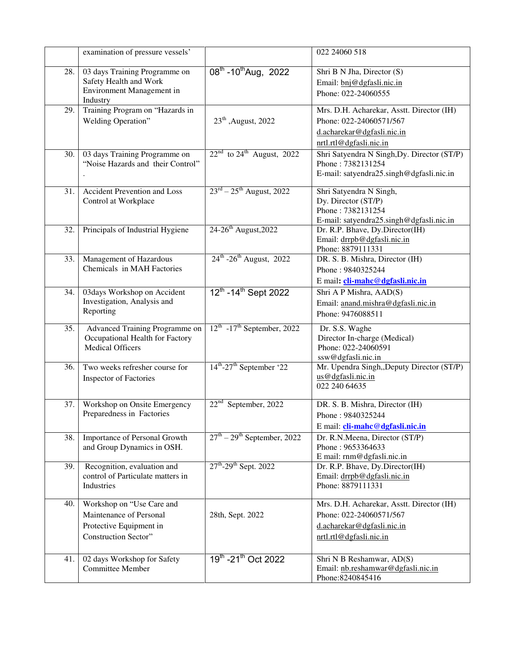|     | examination of pressure vessels'                                                                               |                                                    | 022 24060 518                                                                                                                 |
|-----|----------------------------------------------------------------------------------------------------------------|----------------------------------------------------|-------------------------------------------------------------------------------------------------------------------------------|
| 28. | 03 days Training Programme on<br>Safety Health and Work<br>Environment Management in<br>Industry               | $08^{\text{th}}$ -10 <sup>th</sup> Aug, 2022       | Shri B N Jha, Director (S)<br>Email: bnj@dgfasli.nic.in<br>Phone: 022-24060555                                                |
| 29. | Training Program on "Hazards in<br>Welding Operation"                                                          | $23th$ , August, 2022                              | Mrs. D.H. Acharekar, Asstt. Director (IH)<br>Phone: 022-24060571/567<br>d.acharekar@dgfasli.nic.in<br>nrtl.rtl@dgfasli.nic.in |
| 30. | 03 days Training Programme on<br>"Noise Hazards and their Control"                                             | $22nd$ to $24th$ August, 2022                      | Shri Satyendra N Singh, Dy. Director (ST/P)<br>Phone: 7382131254<br>E-mail: satyendra25.singh@dgfasli.nic.in                  |
| 31. | <b>Accident Prevention and Loss</b><br>Control at Workplace                                                    | $23^{rd} - 25^{th}$ August, 2022                   | Shri Satyendra N Singh,<br>Dy. Director (ST/P)<br>Phone: 7382131254<br>E-mail: satyendra25.singh@dgfasli.nic.in               |
| 32. | Principals of Industrial Hygiene                                                                               | 24-26 <sup>th</sup> August, 2022                   | Dr. R.P. Bhave, Dy.Director(IH)<br>Email: drrpb@dgfasli.nic.in<br>Phone: 8879111331                                           |
| 33. | Management of Hazardous<br>Chemicals in MAH Factories                                                          | $24^{th}$ -26 <sup>th</sup> August, 2022           | DR. S. B. Mishra, Director (IH)<br>Phone: 9840325244<br>E mail: <i>cli-mahc@dgfasli.nic.in</i>                                |
| 34. | 03days Workshop on Accident<br>Investigation, Analysis and<br>Reporting                                        | 12th - 14th Sept 2022                              | Shri A P Mishra, AAD(S)<br>Email: anand.mishra@dgfasli.nic.in<br>Phone: 9476088511                                            |
| 35. | Advanced Training Programme on<br>Occupational Health for Factory<br><b>Medical Officers</b>                   | $12^{\text{th}}$ -17 <sup>th</sup> September, 2022 | Dr. S.S. Waghe<br>Director In-charge (Medical)<br>Phone: 022-24060591<br>ssw@dgfasli.nic.in                                   |
| 36. | Two weeks refresher course for<br><b>Inspector of Factories</b>                                                | $14^{\text{th}}$ -27 <sup>th</sup> September '22   | Mr. Upendra Singh, Deputy Director (ST/P)<br>us@dgfasli.nic.in<br>022 240 64635                                               |
| 37. | Workshop on Onsite Emergency<br>Preparedness in Factories                                                      | $22nd$ September, 2022                             | DR. S. B. Mishra, Director (IH)<br>Phone: 9840325244<br>E mail: cli-mahc@dgfasli.nic.in                                       |
| 38. | Importance of Personal Growth<br>and Group Dynamics in OSH.                                                    | $27th - 29th$ September, 2022                      | Dr. R.N.Meena, Director (ST/P)<br>Phone: 9653364633<br>E mail: rnm@dgfasli.nic.in                                             |
| 39. | Recognition, evaluation and<br>control of Particulate matters in<br>Industries                                 | $27^{th}$ -29 <sup>th</sup> Sept. 2022             | Dr. R.P. Bhave, Dy.Director(IH)<br>Email: drrpb@dgfasli.nic.in<br>Phone: 8879111331                                           |
| 40. | Workshop on "Use Care and<br>Maintenance of Personal<br>Protective Equipment in<br><b>Construction Sector"</b> | 28th, Sept. 2022                                   | Mrs. D.H. Acharekar, Asstt. Director (IH)<br>Phone: 022-24060571/567<br>d.acharekar@dgfasli.nic.in<br>nrtl.rtl@dgfasli.nic.in |
| 41. | 02 days Workshop for Safety<br><b>Committee Member</b>                                                         | 19th -21th Oct 2022                                | Shri N B Reshamwar, AD(S)<br>Email: nb.reshamwar@dgfasli.nic.in<br>Phone: 8240845416                                          |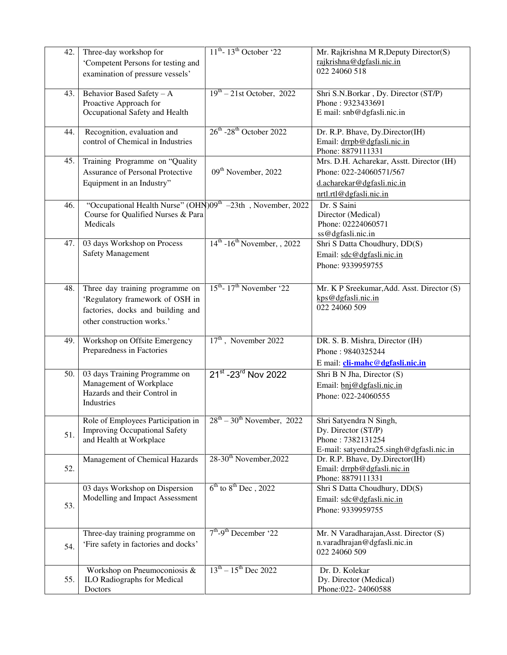| 42. | Three-day workshop for<br>'Competent Persons for testing and<br>examination of pressure vessels'                                      | $11th - 13th$ October '22                        | Mr. Rajkrishna M R, Deputy Director(S)<br>rajkrishna@dgfasli.nic.in<br>022 24060 518                                          |
|-----|---------------------------------------------------------------------------------------------------------------------------------------|--------------------------------------------------|-------------------------------------------------------------------------------------------------------------------------------|
| 43. | Behavior Based Safety - A<br>Proactive Approach for<br>Occupational Safety and Health                                                 | $19th - 21$ st October, 2022                     | Shri S.N.Borkar, Dy. Director (ST/P)<br>Phone: 9323433691<br>E mail: snb@dgfasli.nic.in                                       |
| 44. | Recognition, evaluation and<br>control of Chemical in Industries                                                                      | $26^{\text{th}}$ -28 <sup>th</sup> October 2022  | Dr. R.P. Bhave, Dy.Director(IH)<br>Email: drrpb@dgfasli.nic.in<br>Phone: 8879111331                                           |
| 45. | Training Programme on "Quality<br><b>Assurance of Personal Protective</b><br>Equipment in an Industry"                                | 09 <sup>th</sup> November, 2022                  | Mrs. D.H. Acharekar, Asstt. Director (IH)<br>Phone: 022-24060571/567<br>d.acharekar@dgfasli.nic.in<br>nrtl.rtl@dgfasli.nic.in |
| 46. | "Occupational Health Nurse" (OHN)09 <sup>th</sup> -23th, November, 2022<br>Course for Qualified Nurses & Para<br>Medicals             |                                                  | Dr. S Saini<br>Director (Medical)<br>Phone: 02224060571<br>ss@dgfasli.nic.in                                                  |
| 47. | 03 days Workshop on Process<br><b>Safety Management</b>                                                                               | $14th - 16th$ November, , 2022                   | Shri S Datta Choudhury, DD(S)<br>Email: sdc@dgfasli.nic.in<br>Phone: 9339959755                                               |
| 48. | Three day training programme on<br>'Regulatory framework of OSH in<br>factories, docks and building and<br>other construction works.' | $15^{\text{th}}$ - 17 <sup>th</sup> November '22 | Mr. K P Sreekumar, Add. Asst. Director (S)<br>kps@dgfasli.nic.in<br>022 24060 509                                             |
| 49. | Workshop on Offsite Emergency<br>Preparedness in Factories                                                                            | $17th$ , November 2022                           | DR. S. B. Mishra, Director (IH)<br>Phone: 9840325244<br>E mail: cli-mahc@dgfasli.nic.in                                       |
| 50. | 03 days Training Programme on<br>Management of Workplace<br>Hazards and their Control in<br>Industries                                | 21st -23rd Nov 2022                              | Shri B N Jha, Director (S)<br>Email: bnj@dgfasli.nic.in<br>Phone: 022-24060555                                                |
| 51. | Role of Employees Participation in<br><b>Improving Occupational Safety</b><br>and Health at Workplace                                 | $28^{\text{th}} - 30^{\text{th}}$ November, 2022 | Shri Satyendra N Singh,<br>Dy. Director (ST/P)<br>Phone: 7382131254<br>E-mail: satyendra25.singh@dgfasli.nic.in               |
| 52. | Management of Chemical Hazards                                                                                                        | 28-30 <sup>th</sup> November, 2022               | Dr. R.P. Bhave, Dy.Director(IH)<br>Email: drrpb@dgfasli.nic.in<br>Phone: 8879111331                                           |
| 53. | 03 days Workshop on Dispersion<br>Modelling and Impact Assessment                                                                     | $6th$ to $8th$ Dec, 2022                         | Shri S Datta Choudhury, DD(S)<br>Email: sdc@dgfasli.nic.in<br>Phone: 9339959755                                               |
| 54. | Three-day training programme on<br>'Fire safety in factories and docks'                                                               | $7th$ -9 <sup>th</sup> December '22              | Mr. N Varadharajan, Asst. Director (S)<br>n.varadhrajan@dgfasli.nic.in<br>022 24060 509                                       |
| 55. | Workshop on Pneumoconiosis $\&$<br><b>ILO Radiographs for Medical</b><br>Doctors                                                      | $13^{th} - 15^{th}$ Dec 2022                     | Dr. D. Kolekar<br>Dy. Director (Medical)<br>Phone: 022-24060588                                                               |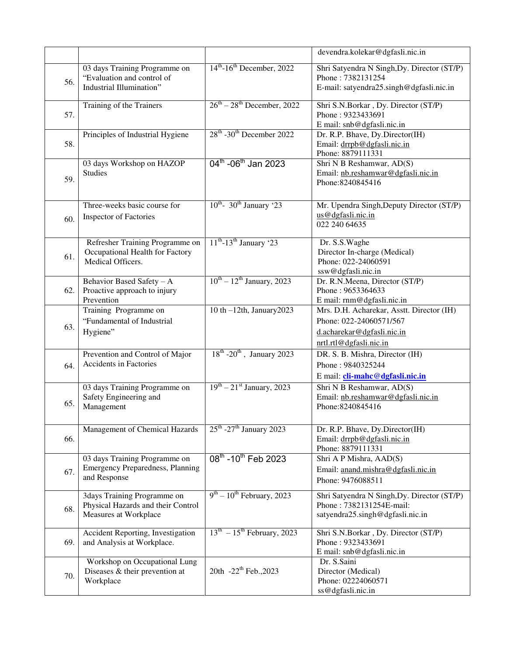|     |                                                                                            |                                                  | devendra.kolekar@dgfasli.nic.in                                                                                               |
|-----|--------------------------------------------------------------------------------------------|--------------------------------------------------|-------------------------------------------------------------------------------------------------------------------------------|
| 56. | 03 days Training Programme on<br>"Evaluation and control of<br>Industrial Illumination"    | $14th$ -16 <sup>th</sup> December, 2022          | Shri Satyendra N Singh, Dy. Director (ST/P)<br>Phone: 7382131254<br>E-mail: satyendra25.singh@dgfasli.nic.in                  |
| 57. | Training of the Trainers                                                                   | $26^{\text{th}} - 28^{\text{th}}$ December, 2022 | Shri S.N.Borkar, Dy. Director (ST/P)<br>Phone: 9323433691<br>E mail: snb@dgfasli.nic.in                                       |
| 58. | Principles of Industrial Hygiene                                                           | 28 <sup>th</sup> -30 <sup>th</sup> December 2022 | Dr. R.P. Bhave, Dy.Director(IH)<br>Email: drrpb@dgfasli.nic.in<br>Phone: 8879111331                                           |
| 59. | 03 days Workshop on HAZOP<br><b>Studies</b>                                                | 04 <sup>th</sup> -06 <sup>th</sup> Jan 2023      | Shri N B Reshamwar, AD(S)<br>Email: nb.reshamwar@dgfasli.nic.in<br>Phone: 8240845416                                          |
| 60. | Three-weeks basic course for<br><b>Inspector of Factories</b>                              | $10^{th}$ - 30 <sup>th</sup> January 23          | Mr. Upendra Singh, Deputy Director (ST/P)<br>us@dgfasli.nic.in<br>022 240 64635                                               |
| 61. | Refresher Training Programme on<br>Occupational Health for Factory<br>Medical Officers.    | $11th$ -13 <sup>th</sup> January '23             | Dr. S.S.Waghe<br>Director In-charge (Medical)<br>Phone: 022-24060591<br>ssw@dgfasli.nic.in                                    |
| 62. | Behavior Based Safety - A<br>Proactive approach to injury<br>Prevention                    | $10^{th} - 12^{th}$ January, 2023                | Dr. R.N.Meena, Director (ST/P)<br>Phone: 9653364633<br>E mail: rnm@dgfasli.nic.in                                             |
| 63. | Training Programme on<br>"Fundamental of Industrial<br>Hygiene"                            | 10 th $-12$ th, January2023                      | Mrs. D.H. Acharekar, Asstt. Director (IH)<br>Phone: 022-24060571/567<br>d.acharekar@dgfasli.nic.in<br>nrtl.rtl@dgfasli.nic.in |
| 64. | Prevention and Control of Major<br><b>Accidents in Factories</b>                           | $18^{th}$ -20 <sup>th</sup> , January 2023       | DR. S. B. Mishra, Director (IH)<br>Phone: 9840325244<br>E mail: cli-mahc@dgfasli.nic.in                                       |
| 65. | 03 days Training Programme on<br>Safety Engineering and<br>Management                      | $19th - 21st January, 2023$                      | Shri N B Reshamwar, AD(S)<br>Email: nb.reshamwar@dgfasli.nic.in<br>Phone: 8240845416                                          |
| 66. | <b>Management of Chemical Hazards</b>                                                      | $25^{\text{th}}$ -27 <sup>th</sup> January 2023  | Dr. R.P. Bhave, Dy.Director(IH)<br>Email: drrpb@dgfasli.nic.in<br>Phone: 8879111331                                           |
| 67. | 03 days Training Programme on<br><b>Emergency Preparedness, Planning</b><br>and Response   | 08 <sup>th</sup> -10 <sup>th</sup> Feb 2023      | Shri A P Mishra, AAD(S)<br>Email: anand.mishra@dgfasli.nic.in<br>Phone: 9476088511                                            |
| 68. | 3days Training Programme on<br>Physical Hazards and their Control<br>Measures at Workplace | $9th - 10th$ February, 2023                      | Shri Satyendra N Singh, Dy. Director (ST/P)<br>Phone: 7382131254E-mail:<br>satyendra25.singh@dgfasli.nic.in                   |
| 69. | Accident Reporting, Investigation<br>and Analysis at Workplace.                            | $13th - 15th$ February, 2023                     | Shri S.N.Borkar, Dy. Director (ST/P)<br>Phone: 9323433691<br>E mail: snb@dgfasli.nic.in                                       |
| 70. | Workshop on Occupational Lung<br>Diseases & their prevention at<br>Workplace               | 20th -22 <sup>th</sup> Feb., 2023                | Dr. S.Saini<br>Director (Medical)<br>Phone: 02224060571<br>ss@dgfasli.nic.in                                                  |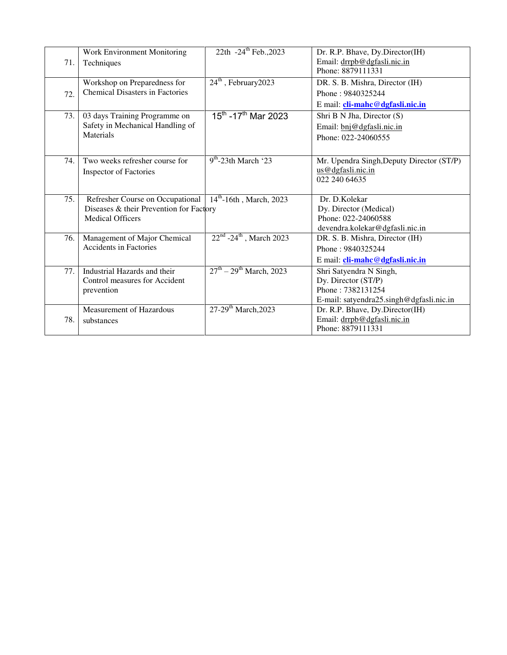| 71. | Work Environment Monitoring<br>Techniques                                                              | 22th -24 <sup>th</sup> Feb., 2023        | Dr. R.P. Bhave, Dy.Director(IH)<br>Email: drrpb@dgfasli.nic.in<br>Phone: 8879111331                             |
|-----|--------------------------------------------------------------------------------------------------------|------------------------------------------|-----------------------------------------------------------------------------------------------------------------|
| 72. | Workshop on Preparedness for<br><b>Chemical Disasters in Factories</b>                                 | $24th$ , February 2023                   | DR. S. B. Mishra, Director (IH)<br>Phone: 9840325244<br>E mail: <i>cli-mahc@dgfasli.nic.in</i>                  |
| 73. | 03 days Training Programme on<br>Safety in Mechanical Handling of<br>Materials                         | $15^{th}$ -17 <sup>th</sup> Mar 2023     | Shri B N Jha, Director (S)<br>Email: bnj@dgfasli.nic.in<br>Phone: 022-24060555                                  |
| 74. | Two weeks refresher course for<br><b>Inspector of Factories</b>                                        | $9th$ -23th March '23                    | Mr. Upendra Singh, Deputy Director (ST/P)<br>us@dgfasli.nic.in<br>022 240 64635                                 |
| 75. | Refresher Course on Occupational<br>Diseases & their Prevention for Factory<br><b>Medical Officers</b> | $14^{th} - 16th$ , March, 2023           | Dr. D. Kolekar<br>Dy. Director (Medical)<br>Phone: 022-24060588<br>devendra.kolekar@dgfasli.nic.in              |
| 76. | Management of Major Chemical<br><b>Accidents in Factories</b>                                          | $22^{nd}$ -24 <sup>th</sup> , March 2023 | DR. S. B. Mishra, Director (IH)<br>Phone: 9840325244<br>E mail: cli-mahc@dgfasli.nic.in                         |
| 77. | Industrial Hazards and their<br>Control measures for Accident<br>prevention                            | $27^{th} - 29^{th}$ March, 2023          | Shri Satyendra N Singh,<br>Dy. Director (ST/P)<br>Phone: 7382131254<br>E-mail: satyendra25.singh@dgfasli.nic.in |
| 78. | <b>Measurement of Hazardous</b><br>substances                                                          | 27-29 <sup>th</sup> March, 2023          | Dr. R.P. Bhave, Dy.Director(IH)<br>Email: drrpb@dgfasli.nic.in<br>Phone: 8879111331                             |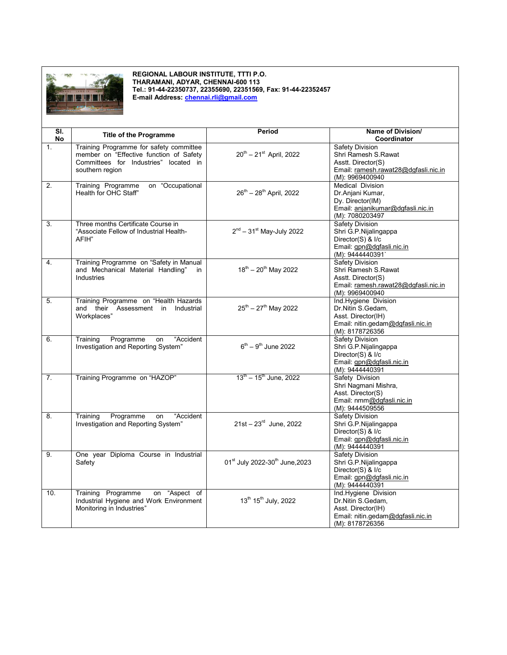

**REGIONAL LABOUR INSTITUTE, TTTI P.O. THARAMANI, ADYAR, CHENNAI-600 113 Tel.: 91-44-22350737, 22355690, 22351569, Fax: 91-44-22352457 E-mail Address: [chennai.rli@gmail.com](mailto:chennai.rli@gmail.com)**

| SI. | <b>Title of the Programme</b>                                                                                                                  | <b>Period</b>                                   | Name of Division/                                                                                                              |
|-----|------------------------------------------------------------------------------------------------------------------------------------------------|-------------------------------------------------|--------------------------------------------------------------------------------------------------------------------------------|
| No  |                                                                                                                                                |                                                 | Coordinator                                                                                                                    |
| 1.  | Training Programme for safety committee<br>member on "Effective function of Safety<br>Committees for Industries" located in<br>southern region | $20^{th} - 21^{st}$ April, 2022                 | Safety Division<br>Shri Ramesh S.Rawat<br>Asstt. Director(S)<br>Email: ramesh.rawat28@dgfasli.nic.in<br>(M): 9969400940        |
| 2.  | on "Occupational<br>Training Programme<br>Health for OHC Staff"                                                                                | 26 <sup>th</sup> - 28 <sup>th</sup> April, 2022 | Medical Division<br>Dr. Anjani Kumar,<br>Dy. Director(IM)<br>Email: anjanikumar@dgfasli.nic.in<br>(M): 7080203497              |
| 3.  | Three months Certificate Course in<br>"Associate Fellow of Industrial Health-<br>AFIH"                                                         | $2nd - 31st$ May-July 2022                      | Safety Division<br>Shri G.P.Nijalingappa<br>Director(S) & I/c<br>Email: gpn@dgfasli.nic.in<br>(M): 9444440391                  |
| 4.  | Training Programme on "Safety in Manual<br>and Mechanical Material Handling"<br>in<br><b>Industries</b>                                        | $18^{th} - 20^{th}$ May 2022                    | <b>Safety Division</b><br>Shri Ramesh S.Rawat<br>Asstt. Director(S)<br>Email: ramesh.rawat28@dgfasli.nic.in<br>(M): 9969400940 |
| 5.  | Training Programme on "Health Hazards<br>and their<br>Assessment in<br>Industrial<br>Workplaces"                                               | $25^{th} - 27^{th}$ May 2022                    | Ind.Hygiene Division<br>Dr.Nitin S.Gedam,<br>Asst. Director(IH)<br>Email: nitin.gedam@dgfasli.nic.in<br>(M): 8178726356        |
| 6.  | Programme<br>"Accident<br>Training<br>on<br>Investigation and Reporting System"                                                                | $6^{th} - 9^{th}$ June 2022                     | <b>Safety Division</b><br>Shri G.P.Nijalingappa<br>Director(S) & I/c<br>Email: gpn@dgfasli.nic.in<br>(M): 9444440391           |
| 7.  | Training Programme on "HAZOP"                                                                                                                  | $13^{\text{th}} - 15^{\text{th}}$ June, 2022    | Safety Division<br>Shri Nagmani Mishra,<br>Asst. Director(S)<br>Email: nmm@dqfasli.nic.in<br>(M): 9444509556                   |
| 8.  | Training<br>Programme<br>"Accident<br>on<br>Investigation and Reporting System"                                                                | $21st - 23^{rd}$ June, 2022                     | Safety Division<br>Shri G.P.Nijalingappa<br>Director(S) & I/c<br>Email: gpn@dgfasli.nic.in<br>(M): 9444440391                  |
| 9.  | One year Diploma Course in Industrial<br>Safety                                                                                                | 01st July 2022-30th June, 2023                  | Safety Division<br>Shri G.P.Nijalingappa<br>Director(S) & I/c<br>Email: gpn@dgfasli.nic.in<br>(M): 9444440391                  |
| 10. | Training Programme<br>on "Aspect of<br>Industrial Hygiene and Work Environment<br>Monitoring in Industries"                                    | 13th 15th July, 2022                            | Ind.Hygiene Division<br>Dr.Nitin S.Gedam,<br>Asst. Director(IH)<br>Email: nitin.gedam@dgfasli.nic.in<br>(M): 8178726356        |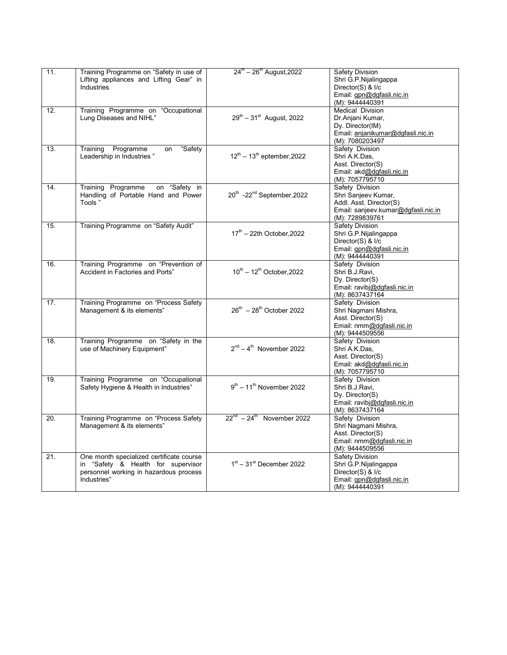| 11.               | Training Programme on "Safety in use of  | $24^{\text{th}} - 26^{\text{th}}$ August, 2022     | <b>Safety Division</b>              |
|-------------------|------------------------------------------|----------------------------------------------------|-------------------------------------|
|                   |                                          |                                                    |                                     |
|                   | Lifting appliances and Lifting Gear" in  |                                                    | Shri G.P.Nijalingappa               |
|                   | Industries                               |                                                    | Director(S) & I/c                   |
|                   |                                          |                                                    | Email: gpn@dgfasli.nic.in           |
|                   |                                          |                                                    | (M): 9444440391                     |
| $\overline{12}$ . | Training Programme on "Occupational      |                                                    | <b>Medical Division</b>             |
|                   | Lung Diseases and NIHL"                  | $29^{th} - 31^{st}$ August, 2022                   | Dr.Anjani Kumar,                    |
|                   |                                          |                                                    |                                     |
|                   |                                          |                                                    | Dy. Director(IM)                    |
|                   |                                          |                                                    | Email: anjanikumar@dgfasli.nic.in   |
|                   |                                          |                                                    | (M): 7080203497                     |
| 13.               | Programme<br>"Safety<br>Training<br>on   |                                                    | Safety Division                     |
|                   | Leadership in Industries"                | $12^{th} - 13^{th}$ eptember, 2022                 | Shri A.K.Das,                       |
|                   |                                          |                                                    | Asst. Director(S)                   |
|                   |                                          |                                                    | Email: akd@dgfasli.nic.in           |
|                   |                                          |                                                    |                                     |
|                   |                                          |                                                    | (M): 7057795710                     |
| 14.               | Training Programme<br>on "Safety in      |                                                    | Safety Division                     |
|                   | Handling of Portable Hand and Power      | 20 <sup>th</sup> -22 <sup>nd</sup> September, 2022 | Shri Sanjeev Kumar,                 |
|                   | Tools"                                   |                                                    | Addl. Asst. Director(S)             |
|                   |                                          |                                                    | Email: sanjeev.kumar@dgfasli.nic.in |
|                   |                                          |                                                    | (M): 7289839761                     |
| 15.               | Training Programme on "Safety Audit"     |                                                    | Safety Division                     |
|                   |                                          | $17th$ – 22th October.2022                         |                                     |
|                   |                                          |                                                    | Shri G.P.Nijalingappa               |
|                   |                                          |                                                    | Director(S) & I/c                   |
|                   |                                          |                                                    | Email: gpn@dgfasli.nic.in           |
|                   |                                          |                                                    | (M): 9444440391                     |
| 16.               | Training Programme on "Prevention of     |                                                    | Safety Division                     |
|                   | Accident in Factories and Ports"         | $10^{th} - 12^{th}$ October, 2022                  | Shri B.J.Ravi.                      |
|                   |                                          |                                                    | Dy. Director(S)                     |
|                   |                                          |                                                    |                                     |
|                   |                                          |                                                    | Email: ravibj@dqfasli.nic.in        |
|                   |                                          |                                                    | (M): 8637437164                     |
| 17.               | Training Programme on "Process Safety    |                                                    | Safety Division                     |
|                   | Management & its elements"               | $26^{th} - 28^{th}$ October 2022                   | Shri Nagmani Mishra,                |
|                   |                                          |                                                    | Asst. Director(S)                   |
|                   |                                          |                                                    | Email: nmm@dgfasli.nic.in           |
|                   |                                          |                                                    | (M): 9444509556                     |
| 18.               | Training Programme on "Safety in the     |                                                    | Safety Division                     |
|                   |                                          | $2^{nd} - 4^{th}$ November 2022                    |                                     |
|                   | use of Machinery Equipment"              |                                                    | Shri A.K.Das.                       |
|                   |                                          |                                                    | Asst. Director(S)                   |
|                   |                                          |                                                    | Email: akd@dqfasli.nic.in           |
|                   |                                          |                                                    | (M): 7057795710                     |
| 19.               | Training Programme on "Occupational      |                                                    | Safety Division                     |
|                   | Safety Hygiene & Health in Industries"   | $9^{th}$ – 11 <sup>th</sup> November 2022          | Shri B.J.Ravi,                      |
|                   |                                          |                                                    | Dy. Director(S)                     |
|                   |                                          |                                                    | Email: ravibj@dgfasli.nic.in        |
|                   |                                          |                                                    |                                     |
|                   |                                          |                                                    | (M): 8637437164                     |
| 20.               | Training Programme on "Process Safety    | $22^{nd} - 24^{th}$ November 2022                  | Safety Division                     |
|                   | Management & its elements"               |                                                    | Shri Nagmani Mishra,                |
|                   |                                          |                                                    | Asst. Director(S)                   |
|                   |                                          |                                                    | Email: nmm@dgfasli.nic.in           |
|                   |                                          |                                                    | (M): 9444509556                     |
| 21.               |                                          |                                                    | <b>Safety Division</b>              |
|                   | One month specialized certificate course |                                                    |                                     |
|                   | in "Safety & Health for supervisor       | $1st - 31st$ December 2022                         | Shri G.P.Nijalingappa               |
|                   | personnel working in hazardous process   |                                                    | Director(S) & I/c                   |
|                   | Industries"                              |                                                    | Email: gpn@dgfasli.nic.in           |
|                   |                                          |                                                    | (M): 9444440391                     |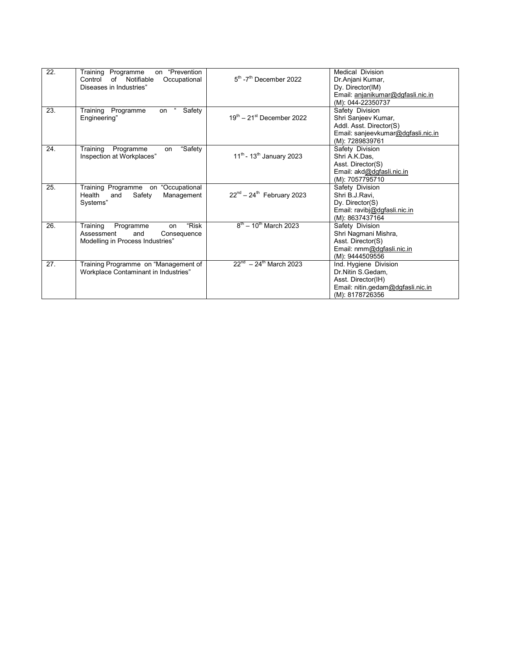| 22. | Training Programme<br>"Prevention<br>on<br>of<br>Notifiable<br>Control<br>Occupational<br>Diseases in Industries" | $5th$ -7 <sup>th</sup> December 2022            | <b>Medical Division</b><br>Dr.Anjani Kumar,<br>Dy. Director(IM)<br>Email: anjanikumar@dgfasli.nic.in<br>(M): 044-22350737  |
|-----|-------------------------------------------------------------------------------------------------------------------|-------------------------------------------------|----------------------------------------------------------------------------------------------------------------------------|
| 23. | Training Programme<br>Safety<br>on<br>Engineering"                                                                | $19^{\text{th}} - 21^{\text{st}}$ December 2022 | Safety Division<br>Shri Sanjeev Kumar,<br>Addl. Asst. Director(S)<br>Email: sanjeevkumar@dgfasli.nic.in<br>(M): 7289839761 |
| 24. | "Safety<br>Training<br>Programme<br>on<br>Inspection at Workplaces"                                               | $11^{th}$ - 13 <sup>th</sup> January 2023       | Safety Division<br>Shri A.K.Das.<br>Asst. Director(S)<br>Email: akd@dgfasli.nic.in<br>(M): 7057795710                      |
| 25. | Training Programme on "Occupational<br>Health<br>and<br>Safety<br>Management<br>Systems"                          | $22^{nd} - 24^{th}$ February 2023               | Safety Division<br>Shri B.J.Ravi.<br>Dy. Director(S)<br>Email: ravibj@dgfasli.nic.in<br>(M): 8637437164                    |
| 26. | "Risk<br>Training<br>Programme<br>on<br>Assessment<br>and<br>Consequence<br>Modelling in Process Industries"      | $8^{th}$ – 10 <sup>th</sup> March 2023          | Safety Division<br>Shri Nagmani Mishra,<br>Asst. Director(S)<br>Email: nmm@dgfasli.nic.in<br>(M): 9444509556               |
| 27. | Training Programme on "Management of<br>Workplace Contaminant in Industries"                                      | $22^{nd}$ – 24 <sup>th</sup> March 2023         | Ind. Hygiene Division<br>Dr.Nitin S.Gedam,<br>Asst. Director(IH)<br>Email: nitin.gedam@dgfasli.nic.in<br>(M): 8178726356   |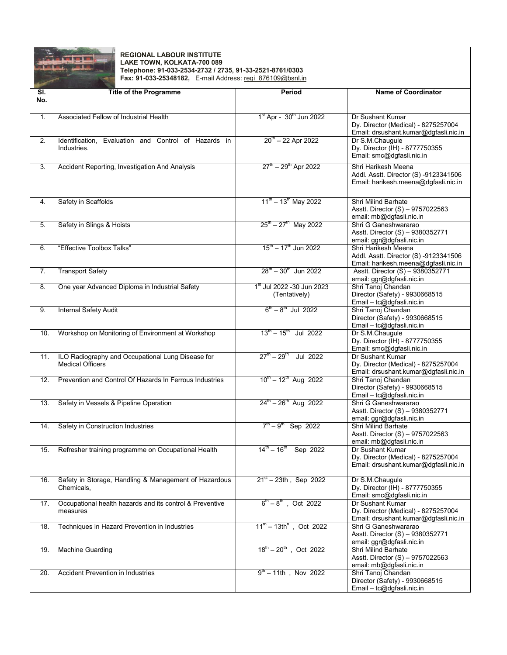

## **REGIONAL LABOUR INSTITUTE LAKE TOWN, KOLKATA-700 089 Telephone: 91-033-2534-2732 / 2735, 91-33-2521-8761/0303 Fax: 91-033-25348182,** E-mail Address: <u>regi\_876109@bsnl.in</u>

| SI. | <b>Title of the Programme</b>                                                | Period                                                | <b>Name of Coordinator</b>                                                                           |
|-----|------------------------------------------------------------------------------|-------------------------------------------------------|------------------------------------------------------------------------------------------------------|
| No. |                                                                              |                                                       |                                                                                                      |
| 1.  | Associated Fellow of Industrial Health                                       | 1 <sup>st</sup> Apr - 30 <sup>th</sup> Jun 2022       | Dr Sushant Kumar<br>Dy. Director (Medical) - 8275257004<br>Email: drsushant.kumar@dgfasli.nic.in     |
| 2.  | Identification, Evaluation and Control of Hazards in<br>Industries.          | $20^{th}$ – 22 Apr 2022                               | Dr S.M.Chaugule<br>Dy. Director (IH) - 8777750355<br>Email: smc@dgfasli.nic.in                       |
| 3.  | Accident Reporting, Investigation And Analysis                               | $27^{th} - 29^{th}$ Apr 2022                          | Shri Harikesh Meena<br>Addl. Asstt. Director (S) -9123341506<br>Email: harikesh.meena@dgfasli.nic.in |
| 4.  | Safety in Scaffolds                                                          | $11^{th} - 13^{th}$ May 2022                          | Shri Milind Barhate<br>Asstt. Director (S) - 9757022563<br>email: mb@dgfasli.nic.in                  |
| 5.  | Safety in Slings & Hoists                                                    | $25^{\text{th}} - 27^{\text{th}}$ May 2022            | Shri G Ganeshwararao<br>Asstt. Director (S) - 9380352771<br>email: ggr@dgfasli.nic.in                |
| 6.  | "Effective Toolbox Talks"                                                    | $15^{\text{th}} - 17^{\text{th}}$ Jun 2022            | Shri Harikesh Meena<br>Addl. Asstt. Director (S) -9123341506<br>Email: harikesh.meena@dgfasli.nic.in |
| 7.  | <b>Transport Safety</b>                                                      | $28^{\text{th}} - 30^{\text{th}}$ Jun 2022            | Asstt. Director (S) - 9380352771<br>email: ggr@dgfasli.nic.in                                        |
| 8.  | One year Advanced Diploma in Industrial Safety                               | 1st Jul 2022 - 30 Jun 2023<br>(Tentatively)           | Shri Tanoj Chandan<br>Director (Safety) - 9930668515<br>Email - tc@dgfasli.nic.in                    |
| 9.  | <b>Internal Safety Audit</b>                                                 | $6^{\text{th}} - 8^{\text{th}}$ Jul 2022              | Shri Tanoj Chandan<br>Director (Safety) - 9930668515<br>Email - tc@dgfasli.nic.in                    |
| 10. | Workshop on Monitoring of Environment at Workshop                            | $13^{\text{th}} - 15^{\text{th}}$ Jul 2022            | Dr S.M.Chaugule<br>Dy. Director (IH) - 8777750355<br>Email: smc@dgfasli.nic.in                       |
| 11. | ILO Radiography and Occupational Lung Disease for<br><b>Medical Officers</b> | $27^{\text{th}} - 29^{\text{th}}$<br>Jul 2022         | Dr Sushant Kumar<br>Dy. Director (Medical) - 8275257004<br>Email: drsushant.kumar@dgfasli.nic.in     |
| 12. | Prevention and Control Of Hazards In Ferrous Industries                      | $10^{th} - 12^{th}$ Aug 2022                          | Shri Tanoj Chandan<br>Director (Safety) - 9930668515<br>Email - tc@dgfasli.nic.in                    |
| 13. | Safety in Vessels & Pipeline Operation                                       | $24^{\text{th}} - 26^{\text{th}}$ Aug 2022            | Shri G Ganeshwararao<br>Asstt. Director (S) - 9380352771<br>email: ggr@dgfasli.nic.in                |
| 14. | Safety in Construction Industries                                            | $7^{\text{th}} - 9^{\text{th}}$ Sep 2022              | Shri Milind Barhate<br>Asstt. Director (S) - 9757022563<br>email: mb@dgfasli.nic.in                  |
| 15. | Refresher training programme on Occupational Health                          | $14^{\text{th}} - 16^{\text{th}}$ Sep 2022            | Dr Sushant Kumar<br>Dy. Director (Medical) - 8275257004<br>Email: drsushant.kumar@dqfasli.nic.in     |
| 16. | Safety in Storage, Handling & Management of Hazardous<br>Chemicals,          | $21st - 23th$ , Sep 2022                              | Dr S.M.Chaugule<br>Dy. Director (IH) - 8777750355<br>Email: smc@dgfasli.nic.in                       |
| 17. | Occupational health hazards and its control & Preventive<br>measures         | $6^{\text{th}} - 8^{\text{th}}$ , Oct 2022            | Dr Sushant Kumar<br>Dy. Director (Medical) - 8275257004<br>Email: drsushant.kumar@dgfasli.nic.in     |
| 18. | Techniques in Hazard Prevention in Industries                                | $11^{\text{th}} - 13 \text{th}^{\text{h}}$ , Oct 2022 | Shri G Ganeshwararao<br>Asstt. Director (S) - 9380352771<br>email: ggr@dgfasli.nic.in                |
| 19. | <b>Machine Guarding</b>                                                      | $18^{\text{th}} - 20^{\text{th}}$ , Oct 2022          | Shri Milind Barhate<br>Asstt. Director (S) - 9757022563<br>email: mb@dgfasli.nic.in                  |
| 20. | <b>Accident Prevention in Industries</b>                                     | $9^{\text{th}} - 11\text{th}$ , Nov 2022              | Shri Tanoj Chandan<br>Director (Safety) - 9930668515<br>Email - tc@dgfasli.nic.in                    |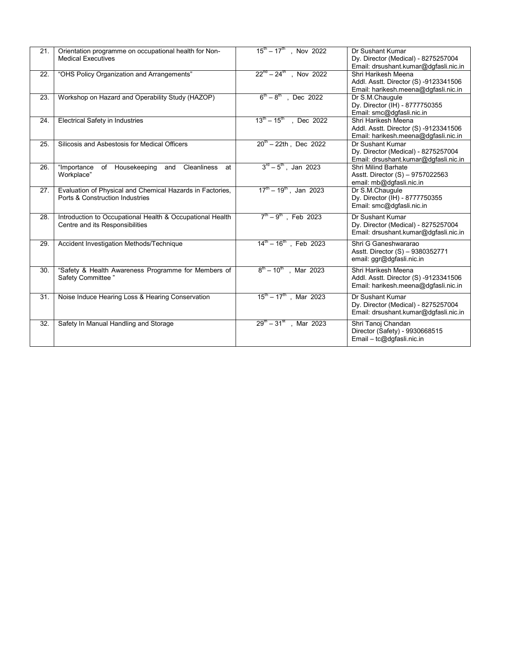| 21. | Orientation programme on occupational health for Non-<br><b>Medical Executives</b>           | $15^{\text{th}} - 17^{\text{th}}$ , Nov 2022 | Dr Sushant Kumar<br>Dy. Director (Medical) - 8275257004<br>Email: drsushant.kumar@dgfasli.nic.in     |
|-----|----------------------------------------------------------------------------------------------|----------------------------------------------|------------------------------------------------------------------------------------------------------|
| 22. | "OHS Policy Organization and Arrangements"                                                   | $22^{nd} - 24^{th}$ , Nov 2022               | Shri Harikesh Meena<br>Addl. Asstt. Director (S) -9123341506<br>Email: harikesh.meena@dgfasli.nic.in |
| 23. | Workshop on Hazard and Operability Study (HAZOP)                                             | $6^{\text{th}} - 8^{\text{th}}$ , Dec 2022   | Dr S.M.Chaugule<br>Dy. Director (IH) - 8777750355<br>Email: smc@dgfasli.nic.in                       |
| 24. | <b>Electrical Safety in Industries</b>                                                       | $13^{\text{th}} - 15^{\text{th}}$ , Dec 2022 | Shri Harikesh Meena<br>Addl. Asstt. Director (S) -9123341506<br>Email: harikesh.meena@dgfasli.nic.in |
| 25. | Silicosis and Asbestosis for Medical Officers                                                | $20^{\text{th}} - 22$ th, Dec 2022           | Dr Sushant Kumar<br>Dy. Director (Medical) - 8275257004<br>Email: drsushant.kumar@dgfasli.nic.in     |
| 26. | Housekeeping<br><b>Cleanliness</b><br>"Importance<br>of<br>and<br>at<br>Workplace"           | $3^{rd} - 5^{th}$ , Jan 2023                 | Shri Milind Barhate<br>Asstt. Director (S) - 9757022563<br>email: mb@dgfasli.nic.in                  |
| 27. | Evaluation of Physical and Chemical Hazards in Factories,<br>Ports & Construction Industries | $17^{\text{th}} - 19^{\text{th}}$ , Jan 2023 | Dr S.M.Chaugule<br>Dy. Director (IH) - 8777750355<br>Email: smc@dqfasli.nic.in                       |
| 28. | Introduction to Occupational Health & Occupational Health<br>Centre and its Responsibilities | $7^{\text{th}} - 9^{\text{th}}$ , Feb 2023   | Dr Sushant Kumar<br>Dy. Director (Medical) - 8275257004<br>Email: drsushant.kumar@dgfasli.nic.in     |
| 29. | Accident Investigation Methods/Technique                                                     | $14^{\text{th}} - 16^{\text{th}}$ , Feb 2023 | Shri G Ganeshwararao<br>Asstt. Director (S) - 9380352771<br>email: ggr@dgfasli.nic.in                |
| 30. | "Safety & Health Awareness Programme for Members of<br>Safety Committee"                     | $8^{th} - 10^{th}$ , Mar 2023                | Shri Harikesh Meena<br>Addl. Asstt. Director (S) -9123341506<br>Email: harikesh.meena@dgfasli.nic.in |
| 31. | Noise Induce Hearing Loss & Hearing Conservation                                             | $15^{\text{th}} - 17^{\text{th}}$ , Mar 2023 | Dr Sushant Kumar<br>Dy. Director (Medical) - 8275257004<br>Email: drsushant.kumar@dgfasli.nic.in     |
| 32. | Safety In Manual Handling and Storage                                                        | $29^{\text{th}} - 31^{\text{st}}$ , Mar 2023 | Shri Tanoj Chandan<br>Director (Safety) - 9930668515<br>Email – tc@dgfasli.nic.in                    |
|     |                                                                                              |                                              |                                                                                                      |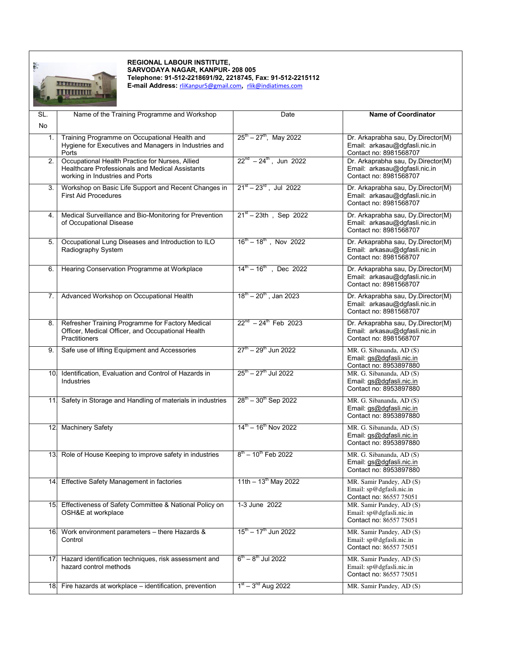

## **REGIONAL LABOUR INSTITUTE, SARVODAYA NAGAR, KANPUR- 208 005 Telephone: 91-512-2218691/92, 2218745, Fax: 91-512-2215112**

**E-mail Address:** [rliKanpur5@gmail.com](mailto:rliKanpur5@gmail.com)**,** [rlik@indiatimes.com](mailto:rlik@indiatimes.com)

| SL.             | Name of the Training Programme and Workshop                                                                                           | Date                                         | <b>Name of Coordinator</b>                                                                    |
|-----------------|---------------------------------------------------------------------------------------------------------------------------------------|----------------------------------------------|-----------------------------------------------------------------------------------------------|
| No              |                                                                                                                                       |                                              |                                                                                               |
| 1.              | Training Programme on Occupational Health and<br>Hygiene for Executives and Managers in Industries and<br>Ports                       | $25^{\text{th}} - 27^{\text{th}}$ , May 2022 | Dr. Arkaprabha sau, Dy.Director(M)<br>Email: arkasau@dgfasli.nic.in<br>Contact no: 8981568707 |
| 2.              | Occupational Health Practice for Nurses, Allied<br>Healthcare Professionals and Medical Assistants<br>working in Industries and Ports | $22^{nd} - 24^{th}$ , Jun 2022               | Dr. Arkaprabha sau, Dy.Director(M)<br>Email: arkasau@dgfasli.nic.in<br>Contact no: 8981568707 |
| 3.              | Workshop on Basic Life Support and Recent Changes in<br><b>First Aid Procedures</b>                                                   | $21^{st} - 23^{rd}$ , Jul 2022               | Dr. Arkaprabha sau, Dy.Director(M)<br>Email: arkasau@dgfasli.nic.in<br>Contact no: 8981568707 |
| 4.              | Medical Surveillance and Bio-Monitoring for Prevention<br>of Occupational Disease                                                     | $21^{st} - 23th$ , Sep 2022                  | Dr. Arkaprabha sau, Dy.Director(M)<br>Email: arkasau@dgfasli.nic.in<br>Contact no: 8981568707 |
| 5.              | Occupational Lung Diseases and Introduction to ILO<br>Radiography System                                                              | $16^{th} - 18^{th}$ , Nov 2022               | Dr. Arkaprabha sau, Dy.Director(M)<br>Email: arkasau@dgfasli.nic.in<br>Contact no: 8981568707 |
| 6.              | Hearing Conservation Programme at Workplace                                                                                           | $14^{\text{th}} - 16^{\text{th}}$ , Dec 2022 | Dr. Arkaprabha sau, Dy.Director(M)<br>Email: arkasau@dgfasli.nic.in<br>Contact no: 8981568707 |
| 7.              | Advanced Workshop on Occupational Health                                                                                              | $18^{\text{th}} - 20^{\text{th}}$ , Jan 2023 | Dr. Arkaprabha sau, Dy.Director(M)<br>Email: arkasau@dgfasli.nic.in<br>Contact no: 8981568707 |
| 8.              | Refresher Training Programme for Factory Medical<br>Officer, Medical Officer, and Occupational Health<br><b>Practitioners</b>         | $22^{nd}$ - $24^{th}$ Feb 2023               | Dr. Arkaprabha sau, Dy.Director(M)<br>Email: arkasau@dqfasli.nic.in<br>Contact no: 8981568707 |
| 9.              | Safe use of lifting Equipment and Accessories                                                                                         | $27^{\text{th}} - 29^{\text{th}}$ Jun 2022   | MR. G. Sibananda, AD (S)<br>Email: gs@dgfasli.nic.in<br>Contact no: 8953897880                |
| 10.             | Identification, Evaluation and Control of Hazards in<br>Industries                                                                    | $25^{\text{th}} - 27^{\text{th}}$ Jul 2022   | MR. G. Sibananda, AD (S)<br>Email: gs@dgfasli.nic.in<br>Contact no: 8953897880                |
| 11 <sup>1</sup> | Safety in Storage and Handling of materials in industries                                                                             | $28^{th} - 30^{th}$ Sep 2022                 | MR. G. Sibananda, AD (S)<br>Email: gs@dgfasli.nic.in<br>Contact no: 8953897880                |
|                 | 12. Machinery Safety                                                                                                                  | $14^{\text{th}} - 16^{\text{th}}$ Nov 2022   | MR. G. Sibananda, AD (S)<br>Email: gs@dgfasli.nic.in<br>Contact no: 8953897880                |
|                 | 13. Role of House Keeping to improve safety in industries                                                                             | $8^{th}$ – 10 <sup>th</sup> Feb 2022         | MR. G. Sibananda, AD (S)<br>Email: gs@dgfasli.nic.in<br>Contact no: 8953897880                |
|                 | 14 Effective Safety Management in factories                                                                                           | $11th - 13th$ May 2022                       | MR. Samir Pandey, AD (S)<br>Email: sp@dgfasli.nic.in<br>Contact no: 86557 75051               |
|                 | 15. Effectiveness of Safety Committee & National Policy on<br>OSH&E at workplace                                                      | 1-3 June 2022                                | MR. Samir Pandey, AD (S)<br>Email: sp@dgfasli.nic.in<br>Contact no: 86557 75051               |
|                 | 16. Work environment parameters - there Hazards &<br>Control                                                                          | $15^{\text{th}} - 17^{\text{th}}$ Jun 2022   | MR. Samir Pandey, AD (S)<br>Email: sp@dgfasli.nic.in<br>Contact no: 86557 75051               |
| 17.             | Hazard identification techniques, risk assessment and<br>hazard control methods                                                       | $6^{th} - 8^{th}$ Jul 2022                   | MR. Samir Pandey, AD (S)<br>Email: sp@dgfasli.nic.in<br>Contact no: 86557 75051               |
| 18.             | Fire hazards at workplace - identification, prevention                                                                                | $1st - 3nd$ Aug 2022                         | MR. Samir Pandey, AD (S)                                                                      |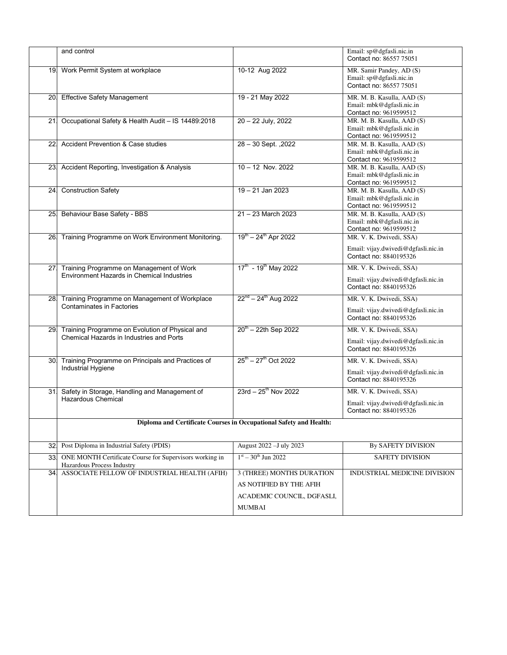|     | and control                                                                                 |                                                                                                     | Email: sp@dgfasli.nic.in<br>Contact no: 86557 75051                                      |  |  |  |
|-----|---------------------------------------------------------------------------------------------|-----------------------------------------------------------------------------------------------------|------------------------------------------------------------------------------------------|--|--|--|
|     | 19. Work Permit System at workplace                                                         | 10-12 Aug 2022                                                                                      | MR. Samir Pandey, AD (S)<br>Email: sp@dgfasli.nic.in<br>Contact no: 86557 75051          |  |  |  |
|     | 20. Effective Safety Management                                                             | 19 - 21 May 2022                                                                                    | MR. M. B. Kasulla, AAD (S)<br>Email: mbk@dgfasli.nic.in<br>Contact no: 9619599512        |  |  |  |
| 21. | Occupational Safety & Health Audit - IS 14489:2018                                          | 20 - 22 July, 2022                                                                                  | MR. M. B. Kasulla, AAD (S)<br>Email: mbk@dgfasli.nic.in<br>Contact no: 9619599512        |  |  |  |
| 22  | Accident Prevention & Case studies                                                          | 28 - 30 Sept., 2022                                                                                 | MR. M. B. Kasulla, AAD (S)<br>Email: mbk@dgfasli.nic.in<br>Contact no: 9619599512        |  |  |  |
|     | 23. Accident Reporting, Investigation & Analysis                                            | $10 - 12$ Nov. 2022                                                                                 | MR. M. B. Kasulla, AAD (S)<br>Email: mbk@dgfasli.nic.in<br>Contact no: 9619599512        |  |  |  |
|     | 24 Construction Safety                                                                      | $19 - 21$ Jan 2023                                                                                  | MR. M. B. Kasulla, AAD (S)<br>Email: mbk@dgfasli.nic.in<br>Contact no: 9619599512        |  |  |  |
|     | 25. Behaviour Base Safety - BBS                                                             | $21 - 23$ March 2023                                                                                | MR. M. B. Kasulla, AAD (S)<br>Email: mbk@dgfasli.nic.in<br>Contact no: 9619599512        |  |  |  |
|     | 26. Training Programme on Work Environment Monitoring.                                      | $19^{th} - 24^{th}$ Apr 2022                                                                        | MR. V. K. Dwivedi, SSA)<br>Email: vijay.dwivedi@dgfasli.nic.in<br>Contact no: 8840195326 |  |  |  |
| 27. | Training Programme on Management of Work<br>Environment Hazards in Chemical Industries      | $17^{\text{th}}$ - 19 <sup>th</sup> May 2022                                                        | MR. V. K. Dwivedi, SSA)<br>Email: vijay.dwivedi@dgfasli.nic.in<br>Contact no: 8840195326 |  |  |  |
|     | 28 Training Programme on Management of Workplace<br><b>Contaminates in Factories</b>        | $22^{nd} - 24^{th}$ Aug 2022                                                                        | MR. V. K. Dwivedi, SSA)<br>Email: vijay.dwivedi@dgfasli.nic.in<br>Contact no: 8840195326 |  |  |  |
| 29. | Training Programme on Evolution of Physical and<br>Chemical Hazards in Industries and Ports | $20^{th}$ – 22th Sep 2022                                                                           | MR. V. K. Dwivedi, SSA)<br>Email: vijay.dwivedi@dgfasli.nic.in<br>Contact no: 8840195326 |  |  |  |
| 30. | Training Programme on Principals and Practices of<br>Industrial Hygiene                     | $25^{\text{th}} - 27^{\text{th}}$ Oct 2022                                                          | MR. V. K. Dwivedi, SSA)<br>Email: vijay.dwivedi@dgfasli.nic.in<br>Contact no: 8840195326 |  |  |  |
|     | 31. Safety in Storage, Handling and Management of<br>Hazardous Chemical                     | $23rd - 25th$ Nov 2022                                                                              | MR. V. K. Dwivedi, SSA)<br>Email: vijay.dwivedi@dgfasli.nic.in<br>Contact no: 8840195326 |  |  |  |
|     | Diploma and Certificate Courses in Occupational Safety and Health:                          |                                                                                                     |                                                                                          |  |  |  |
|     | 32 Post Diploma in Industrial Safety (PDIS)                                                 | August 2022 - July 2023                                                                             | By SAFETY DIVISION                                                                       |  |  |  |
| 33. | ONE MONTH Certificate Course for Supervisors working in<br>Hazardous Process Industry       | $1st - 30th$ Jun 2022                                                                               | <b>SAFETY DIVISION</b>                                                                   |  |  |  |
| 34. | ASSOCIATE FELLOW OF INDUSTRIAL HEALTH (AFIH)                                                | 3 (THREE) MONTHS DURATION<br>AS NOTIFIED BY THE AFIH<br>ACADEMIC COUNCIL, DGFASLI,<br><b>MUMBAI</b> | INDUSTRIAL MEDICINE DIVISION                                                             |  |  |  |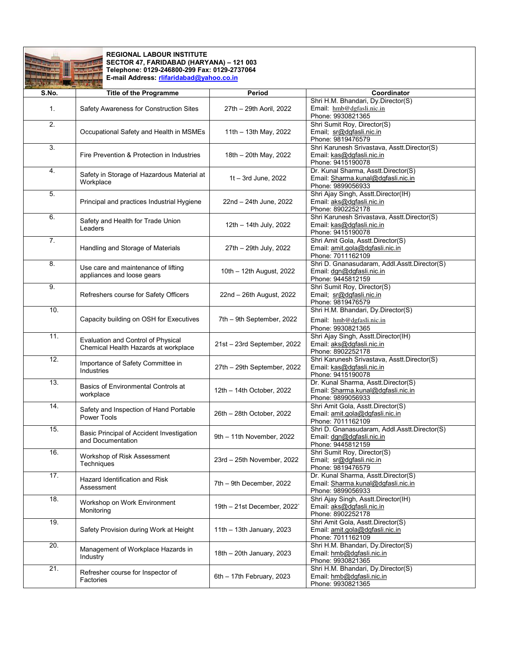

## **REGIONAL LABOUR INSTITUTE SECTOR 47, FARIDABAD (HARYANA) – 121 003 Telephone: 0129-246800-299 Fax: 0129-2737064 E-mail Address[: rlifaridabad@yahoo.co.in](mailto:rlifaridabad@yahoo.co.in)**

| <b>And the second second the contract of the second</b> |                                                                            |                             |                                                                                                |
|---------------------------------------------------------|----------------------------------------------------------------------------|-----------------------------|------------------------------------------------------------------------------------------------|
| S.No.                                                   | <b>Title of the Programme</b>                                              | Period                      | Coordinator                                                                                    |
| 1.                                                      | Safety Awareness for Construction Sites                                    | 27th - 29th Aoril, 2022     | Shri H.M. Bhandari, Dy.Director(S)<br>Email: hmb@dgfasli.nic.in<br>Phone: 9930821365           |
| 2.                                                      | Occupational Safety and Health in MSMEs                                    | 11th - 13th May, 2022       | Shri Sumit Roy, Director(S)<br>Email; sr@dgfasli.nic.in<br>Phone: 9819476579                   |
| 3.                                                      | Fire Prevention & Protection in Industries                                 | 18th - 20th May, 2022       | Shri Karunesh Srivastava, Asstt.Director(S)<br>Email: kas@dgfasli.nic.in<br>Phone: 9415190078  |
| 4.                                                      | Safety in Storage of Hazardous Material at<br>Workplace                    | $1t - 3rd$ June, 2022       | Dr. Kunal Sharma, Asstt.Director(S)<br>Email: Sharma.kunal@dgfasli.nic.in<br>Phone: 9899056933 |
| 5.                                                      | Principal and practices Industrial Hygiene                                 | 22nd - 24th June, 2022      | Shri Ajay Singh, Asstt.Director(IH)<br>Email: aks@dqfasli.nic.in<br>Phone: 8902252178          |
| 6.                                                      | Safety and Health for Trade Union<br>Leaders                               | 12th - 14th July, 2022      | Shri Karunesh Srivastava, Asstt.Director(S)<br>Email: kas@dgfasli.nic.in<br>Phone: 9415190078  |
| $\overline{7}$ .                                        | Handling and Storage of Materials                                          | 27th - 29th July, 2022      | Shri Amit Gola, Asstt.Director(S)<br>Email: amit.gola@dgfasli.nic.in<br>Phone: 7011162109      |
| 8.                                                      | Use care and maintenance of lifting<br>appliances and loose gears          | 10th - 12th August, 2022    | Shri D. Gnanasudaram, Addl.Asstt.Director(S)<br>Email: dgn@dgfasli.nic.in<br>Phone: 9445812159 |
| 9.                                                      | Refreshers course for Safety Officers                                      | 22nd - 26th August, 2022    | Shri Sumit Roy, Director(S)<br>Email; sr@dgfasli.nic.in<br>Phone: 9819476579                   |
| 10.                                                     | Capacity building on OSH for Executives                                    | 7th - 9th September, 2022   | Shri H.M. Bhandari, Dy.Director(S)<br>Email: hmb@dgfasli.nic.in<br>Phone: 9930821365           |
| 11.                                                     | Evaluation and Control of Physical<br>Chemical Health Hazards at workplace | 21st - 23rd September, 2022 | Shri Ajay Singh, Asstt.Director(IH)<br>Email: aks@dgfasli.nic.in<br>Phone: 8902252178          |
| 12.                                                     | Importance of Safety Committee in<br>Industries                            | 27th - 29th September, 2022 | Shri Karunesh Srivastava, Asstt.Director(S)<br>Email: kas@dgfasli.nic.in<br>Phone: 9415190078  |
| 13.                                                     | Basics of Environmental Controls at<br>workplace                           | 12th - 14th October, 2022   | Dr. Kunal Sharma, Asstt.Director(S)<br>Email: Sharma.kunal@dgfasli.nic.in<br>Phone: 9899056933 |
| 14.                                                     | Safety and Inspection of Hand Portable<br>Power Tools                      | 26th - 28th October, 2022   | Shri Amit Gola, Asstt.Director(S)<br>Email: amit.gola@dgfasli.nic.in<br>Phone: 7011162109      |
| 15.                                                     | Basic Principal of Accident Investigation<br>and Documentation             | 9th - 11th November, 2022   | Shri D. Gnanasudaram, Addl.Asstt.Director(S)<br>Email: dgn@dgfasli.nic.in<br>Phone: 9445812159 |
| 16.                                                     | Workshop of Risk Assessment<br>Techniques                                  | 23rd - 25th November, 2022  | Shri Sumit Roy, Director(S)<br>Email; sr@dgfasli.nic.in<br>Phone: 9819476579                   |
| 17.                                                     | Hazard Identification and Risk<br>Assessment                               | 7th - 9th December, 2022    | Dr. Kunal Sharma, Asstt.Director(S)<br>Email: Sharma.kunal@dqfasli.nic.in<br>Phone: 9899056933 |
| 18.                                                     | Workshop on Work Environment<br>Monitoring                                 | 19th - 21st December, 2022` | Shri Ajay Singh, Asstt.Director(IH)<br>Email: aks@dgfasli.nic.in<br>Phone: 8902252178          |
| 19.                                                     | Safety Provision during Work at Height                                     | 11th $-$ 13th January, 2023 | Shri Amit Gola, Asstt.Director(S)<br>Email: amit.gola@dgfasli.nic.in<br>Phone: 7011162109      |
| 20.                                                     | Management of Workplace Hazards in<br>Industry                             | 18th - 20th January, 2023   | Shri H.M. Bhandari, Dy.Director(S)<br>Email: hmb@dgfasli.nic.in<br>Phone: 9930821365           |
| 21.                                                     | Refresher course for Inspector of<br>Factories                             | 6th $-$ 17th February, 2023 | Shri H.M. Bhandari, Dy.Director(S)<br>Email: hmb@dgfasli.nic.in<br>Phone: 9930821365           |
|                                                         |                                                                            |                             |                                                                                                |